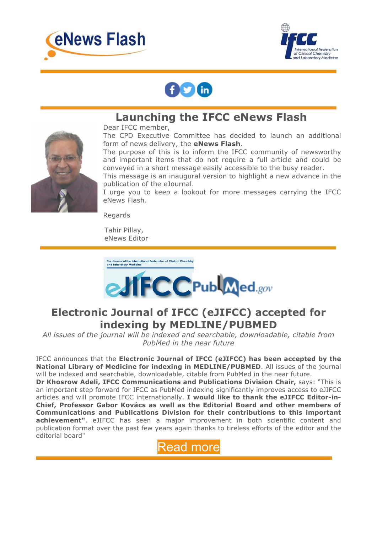





## **Launching the IFCC eNews Flash**



Dear IFCC member,

The CPD Executive Committee has decided to launch an additional form of news delivery, the **eNews Flash**.

The purpose of this is to inform the IFCC community of newsworthy and important items that do not require a full article and could be conveyed in a short message easily accessible to the busy reader.

This message is an inaugural version to highlight a new advance in the publication of the eJournal.

I urge you to keep a lookout for more messages carrying the IFCC eNews Flash.

Regards

Tahir Pillay, eNews Editor



## **Electronic Journal of IFCC (eJIFCC) accepted for indexing by MEDLINE/PUBMED**

*All issues of the journal will be indexed and searchable, downloadable, citable from PubMed in the near future*

IFCC announces that the **Electronic Journal of IFCC (eJIFCC) has been accepted by the National Library of Medicine for indexing in MEDLINE/PUBMED**. All issues of the journal will be indexed and searchable, downloadable, citable from PubMed in the near future.

**Dr Khosrow Adeli, IFCC Communications and Publications Division Chair,** says: "This is an important step forward for IFCC as PubMed indexing significantly improves access to eJIFCC articles and will promote IFCC internationally. **I would like to thank the eJIFCC Editor-in-Chief, Professor Gabor Kovács as well as the Editorial Board and other members of Communications and Publications Division for their contributions to this important achievement"**. eJIFCC has seen a major improvement in both scientific content and publication format over the past few years again thanks to tireless efforts of the editor and the editorial board"